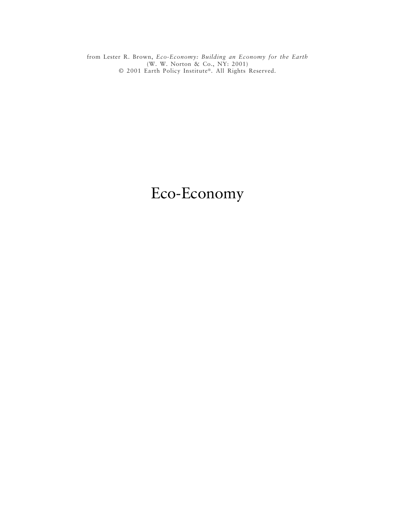from Lester R. Brown, *Eco-Economy: Building an Economy for the Earth* (W. W. Norton & Co., NY: 2001) © 2001 Earth Policy Institute®. All Rights Reserved.

## Eco-Economy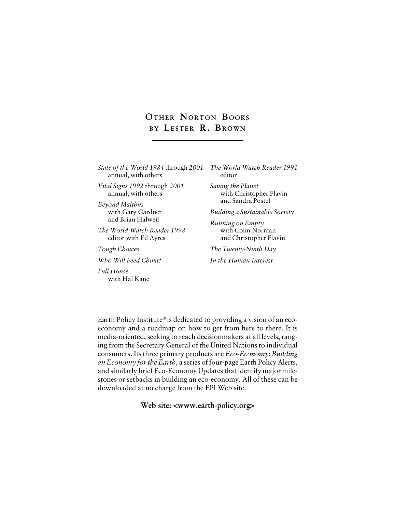### **OTHER N ORTON BOOKS BY LESTER R. B ROWN**

*State of the World 1984* through *2001* annual, with others

*Vital Signs 1992* through *2001* annual, with others

*Beyond Malthus* with Gary Gardner and Brian Halweil

*The World Watch Reader 1998* editor with Ed Ayres

*Tough Choices*

*Who Will Feed China?*

*Full House* with Hal Kane *The World Watch Reader 1991* editor

*Saving the Planet* with Christopher Flavin and Sandra Postel

*Building a Sustainable Society*

*Running on Empty* with Colin Norman and Christopher Flavin

*The Twenty-Ninth Day In the Human Interest*

Earth Policy Institute® is dedicated to providing a vision of an ecoeconomy and a roadmap on how to get from here to there. It is media-oriented, seeking to reach decisionmakers at all levels, ranging from the Secretary General of the United Nations to individual consumers. Its three primary products are *Eco-Economy: Building an Economy for the Earth,* a series of four-page Earth Policy Alerts, and similarly brief Eco-Economy Updates that identify major milestones or setbacks in building an eco-economy. All of these can be downloaded at no charge from the EPI Web site.

**Web site: <www.earth-policy.org>**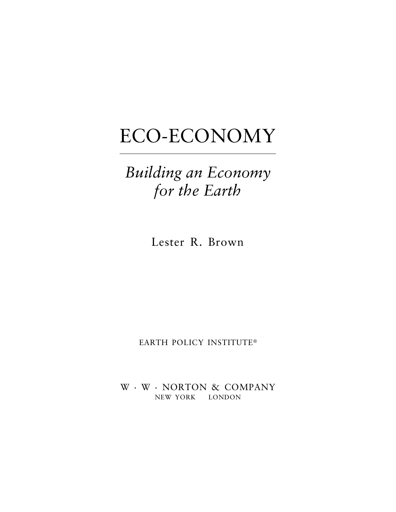# ECO-ECONOMY

*Building an Economy for the Earth*

Lester R. Brown

EARTH POLICY INSTITUTE®

W . W . NORTON & COMPANY NEW YORK LONDON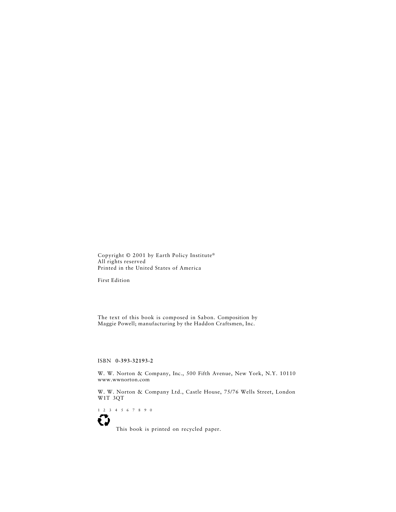Copyright © 2001 by Earth Policy Institute® All rights reserved Printed in the United States of America

First Edition

The text of this book is composed in Sabon. Composition by Maggie Powell; manufacturing by the Haddon Craftsmen, Inc.

#### ISBN **0-393-32193-2**

W. W. Norton & Company, Inc., 500 Fifth Avenue, New York, N.Y. 10110 www.wwnorton.com

W. W. Norton & Company Ltd., Castle House, 75/76 Wells Street, London W1T 3QT

1 2 3 4 5 6 7 8 9 0



This book is printed on recycled paper.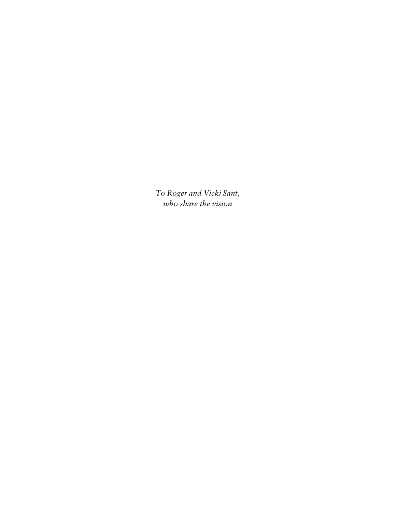*To Roger and Vicki Sant, who share the vision*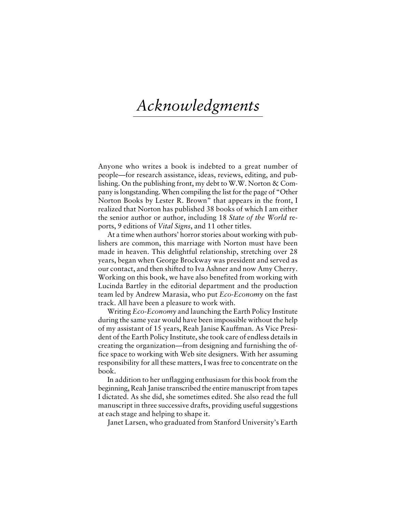### *Acknowledgments*

Anyone who writes a book is indebted to a great number of people—for research assistance, ideas, reviews, editing, and publishing. On the publishing front, my debt to W.W. Norton & Company is longstanding. When compiling the list for the page of "Other Norton Books by Lester R. Brown" that appears in the front, I realized that Norton has published 38 books of which I am either the senior author or author, including 18 *State of the World* reports, 9 editions of *Vital Signs*, and 11 other titles.

At a time when authors' horror stories about working with publishers are common, this marriage with Norton must have been made in heaven. This delightful relationship, stretching over 28 years, began when George Brockway was president and served as our contact, and then shifted to Iva Ashner and now Amy Cherry. Working on this book, we have also benefited from working with Lucinda Bartley in the editorial department and the production team led by Andrew Marasia, who put *Eco-Economy* on the fast track. All have been a pleasure to work with.

Writing *Eco-Economy* and launching the Earth Policy Institute during the same year would have been impossible without the help of my assistant of 15 years, Reah Janise Kauffman. As Vice President of the Earth Policy Institute, she took care of endless details in creating the organization—from designing and furnishing the office space to working with Web site designers. With her assuming responsibility for all these matters, I was free to concentrate on the book.

In addition to her unflagging enthusiasm for this book from the beginning, Reah Janise transcribed the entire manuscript from tapes I dictated. As she did, she sometimes edited. She also read the full manuscript in three successive drafts, providing useful suggestions at each stage and helping to shape it.

Janet Larsen, who graduated from Stanford University's Earth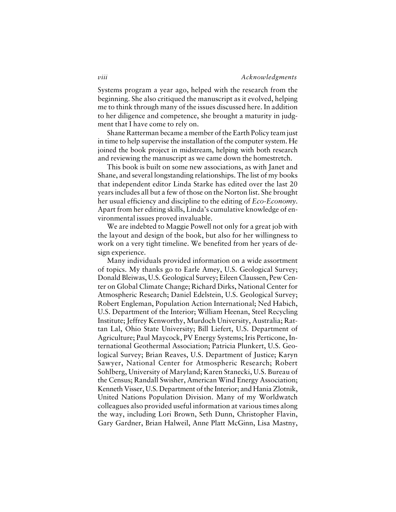#### *viii Acknowledgments*

Systems program a year ago, helped with the research from the beginning. She also critiqued the manuscript as it evolved, helping me to think through many of the issues discussed here. In addition to her diligence and competence, she brought a maturity in judgment that I have come to rely on.

Shane Ratterman became a member of the Earth Policy team just in time to help supervise the installation of the computer system. He joined the book project in midstream, helping with both research and reviewing the manuscript as we came down the homestretch.

This book is built on some new associations, as with Janet and Shane, and several longstanding relationships. The list of my books that independent editor Linda Starke has edited over the last 20 years includes all but a few of those on the Norton list. She brought her usual efficiency and discipline to the editing of *Eco-Economy*. Apart from her editing skills, Linda's cumulative knowledge of environmental issues proved invaluable.

We are indebted to Maggie Powell not only for a great job with the layout and design of the book, but also for her willingness to work on a very tight timeline. We benefited from her years of design experience.

Many individuals provided information on a wide assortment of topics. My thanks go to Earle Amey, U.S. Geological Survey; Donald Bleiwas, U.S. Geological Survey; Eileen Claussen, Pew Center on Global Climate Change; Richard Dirks, National Center for Atmospheric Research; Daniel Edelstein, U.S. Geological Survey; Robert Engleman, Population Action International; Ned Habich, U.S. Department of the Interior; William Heenan, Steel Recycling Institute; Jeffrey Kenworthy, Murdoch University, Australia; Rattan Lal, Ohio State University; Bill Liefert, U.S. Department of Agriculture; Paul Maycock, PV Energy Systems; Iris Perticone, International Geothermal Association; Patricia Plunkert, U.S. Geological Survey; Brian Reaves, U.S. Department of Justice; Karyn Sawyer, National Center for Atmospheric Research; Robert Sohlberg, University of Maryland; Karen Stanecki, U.S. Bureau of the Census; Randall Swisher, American Wind Energy Association; Kenneth Visser, U.S. Department of the Interior; and Hania Zlotnik, United Nations Population Division. Many of my Worldwatch colleagues also provided useful information at various times along the way, including Lori Brown, Seth Dunn, Christopher Flavin, Gary Gardner, Brian Halweil, Anne Platt McGinn, Lisa Mastny,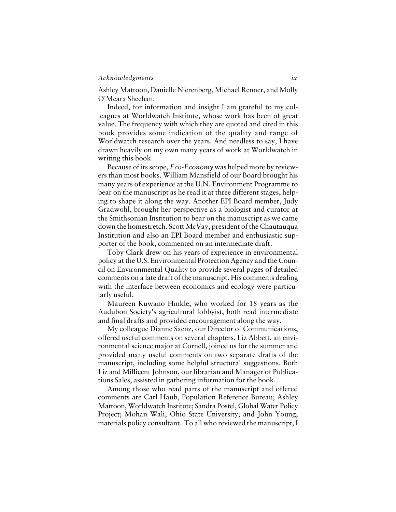### *Acknowledgments ix*

Ashley Mattoon, Danielle Nierenberg, Michael Renner, and Molly O'Meara Sheehan.

Indeed, for information and insight I am grateful to my colleagues at Worldwatch Institute, whose work has been of great value. The frequency with which they are quoted and cited in this book provides some indication of the quality and range of Worldwatch research over the years. And needless to say, I have drawn heavily on my own many years of work at Worldwatch in writing this book.

Because of its scope, *Eco-Economy* was helped more by reviewers than most books. William Mansfield of our Board brought his many years of experience at the U.N. Environment Programme to bear on the manuscript as he read it at three different stages, helping to shape it along the way. Another EPI Board member, Judy Gradwohl, brought her perspective as a biologist and curator at the Smithsonian Institution to bear on the manuscript as we came down the homestretch. Scott McVay, president of the Chautauqua Institution and also an EPI Board member and enthusiastic supporter of the book, commented on an intermediate draft.

Toby Clark drew on his years of experience in environmental policy at the U.S. Environmental Protection Agency and the Council on Environmental Quality to provide several pages of detailed comments on a late draft of the manuscript. His comments dealing with the interface between economics and ecology were particularly useful.

Maureen Kuwano Hinkle, who worked for 18 years as the Audubon Society's agricultural lobbyist, both read intermediate and final drafts and provided encouragement along the way.

My colleague Dianne Saenz, our Director of Communications, offered useful comments on several chapters. Liz Abbett, an environmental science major at Cornell, joined us for the summer and provided many useful comments on two separate drafts of the manuscript, including some helpful structural suggestions. Both Liz and Millicent Johnson, our librarian and Manager of Publications Sales, assisted in gathering information for the book.

Among those who read parts of the manuscript and offered comments are Carl Haub, Population Reference Bureau; Ashley Mattoon, Worldwatch Institute; Sandra Postel, Global Water Policy Project; Mohan Wali, Ohio State University; and John Young, materials policy consultant. To all who reviewed the manuscript, I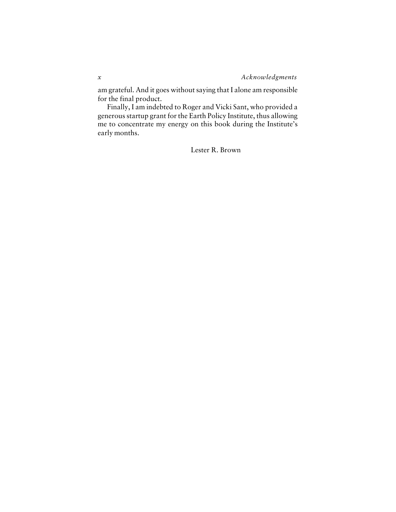am grateful. And it goes without saying that I alone am responsible for the final product.

Finally, I am indebted to Roger and Vicki Sant, who provided a generous startup grant for the Earth Policy Institute, thus allowing me to concentrate my energy on this book during the Institute's early months.

Lester R. Brown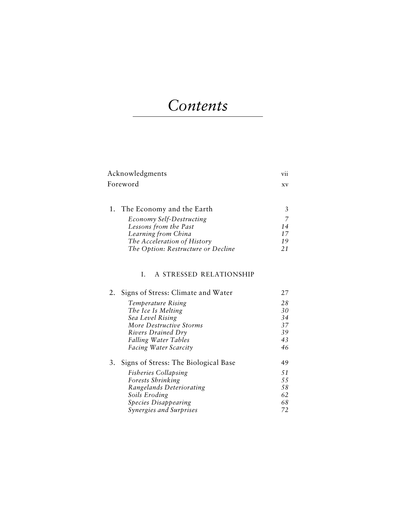### *Contents*

| Acknowledgments                    | V11 |
|------------------------------------|-----|
| Foreword                           | XV  |
|                                    |     |
| 1. The Economy and the Earth       |     |
| <b>Economy Self-Destructing</b>    |     |
| Lessons from the Past              | 14  |
| Learning from China                | 17  |
| The Acceleration of History        | 19  |
| The Option: Restructure or Decline |     |

### I. A STRESSED RELATIONSHIP

| Signs of Stress: Climate and Water<br>2.   | 27 |
|--------------------------------------------|----|
| Temperature Rising                         | 28 |
| The Ice Is Melting                         | 30 |
| Sea Level Rising                           | 34 |
| More Destructive Storms                    | 37 |
| Rivers Drained Dry                         | 39 |
| <b>Falling Water Tables</b>                | 43 |
| <b>Facing Water Scarcity</b>               | 46 |
| Signs of Stress: The Biological Base<br>3. | 49 |
| <b>Fisheries Collapsing</b>                | 51 |
| Forests Shrinking                          | 55 |
| Rangelands Deteriorating                   | 58 |
| Soils Eroding                              | 62 |
| <b>Species Disappearing</b>                | 68 |
| Synergies and Surprises                    | 72 |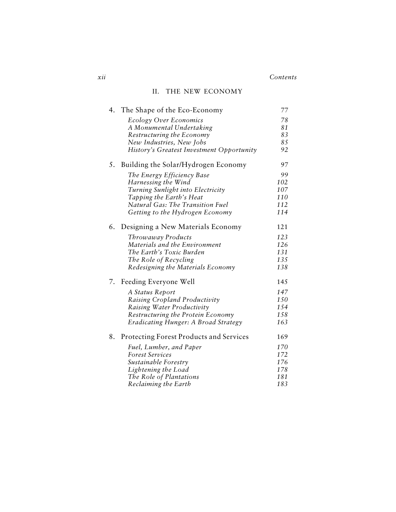### II. THE NEW ECONOMY

|    | 4. The Shape of the Eco-Economy           | 77  |
|----|-------------------------------------------|-----|
|    | <b>Ecology Over Economics</b>             | 78  |
|    | A Monumental Undertaking                  | 81  |
|    | Restructuring the Economy                 | 83  |
|    | New Industries, New Jobs                  | 85  |
|    | History's Greatest Investment Opportunity | 92  |
| 5. | Building the Solar/Hydrogen Economy       | 97  |
|    | The Energy Efficiency Base                | 99  |
|    | Harnessing the Wind                       | 102 |
|    | Turning Sunlight into Electricity         | 107 |
|    | Tapping the Earth's Heat                  | 110 |
|    | <b>Natural Gas: The Transition Fuel</b>   | 112 |
|    | Getting to the Hydrogen Economy           | 114 |
| 6. | Designing a New Materials Economy         | 121 |
|    | Throwaway Products                        | 123 |
|    | Materials and the Environment             | 126 |
|    | The Earth's Toxic Burden                  | 131 |
|    | The Role of Recycling                     | 135 |
|    | Redesigning the Materials Economy         | 138 |
| 7. | Feeding Everyone Well                     | 145 |
|    | A Status Report                           | 147 |
|    | Raising Cropland Productivity             | 150 |
|    | Raising Water Productivity                | 154 |
|    | Restructuring the Protein Economy         | 158 |
|    | Eradicating Hunger: A Broad Strategy      | 163 |
| 8. | Protecting Forest Products and Services   | 169 |
|    | Fuel, Lumber, and Paper                   | 170 |
|    | <b>Forest Services</b>                    | 172 |
|    | Sustainable Forestry                      | 176 |
|    | Lightening the Load                       | 178 |
|    | The Role of Plantations                   | 181 |
|    | Reclaiming the Earth                      | 183 |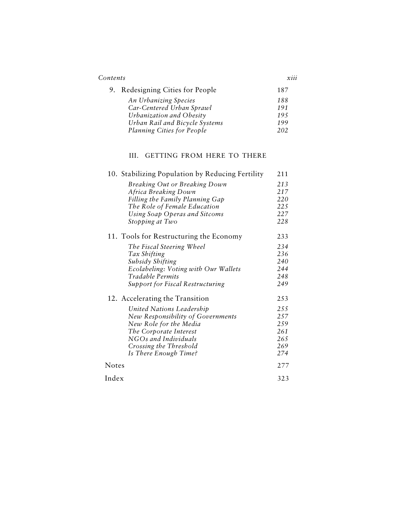| xiii       |  |
|------------|--|
| 187        |  |
| 188<br>191 |  |
| 195        |  |
| 199<br>202 |  |
|            |  |

### III. GETTING FROM HERE TO THERE

| 10. Stabilizing Population by Reducing Fertility             | 211        |
|--------------------------------------------------------------|------------|
| <b>Breaking Out or Breaking Down</b><br>Africa Breaking Down | 213<br>217 |
| Filling the Family Planning Gap                              | 220        |
| The Role of Female Education                                 | 225        |
| Using Soap Operas and Sitcoms                                | 227        |
| Stopping at Two                                              | 228        |
| 11. Tools for Restructuring the Economy                      | 233        |
| The Fiscal Steering Wheel                                    | 234        |
| Tax Shifting                                                 | 236        |
| <b>Subsidy Shifting</b>                                      | 240        |
| Ecolabeling: Voting with Our Wallets                         | 244        |
| <i>Tradable Permits</i>                                      | 248        |
| <b>Support for Fiscal Restructuring</b>                      | 249        |
| 12. Accelerating the Transition                              |            |
| United Nations Leadership                                    | 255        |
| New Responsibility of Governments                            | 257        |
| New Role for the Media                                       | 259        |
| The Corporate Interest                                       | 261        |
| NGOs and Individuals                                         | 265        |
| Crossing the Threshold                                       | 269        |
| Is There Enough Time?                                        | 274        |
| Notes                                                        | 277        |
| Index                                                        | 323        |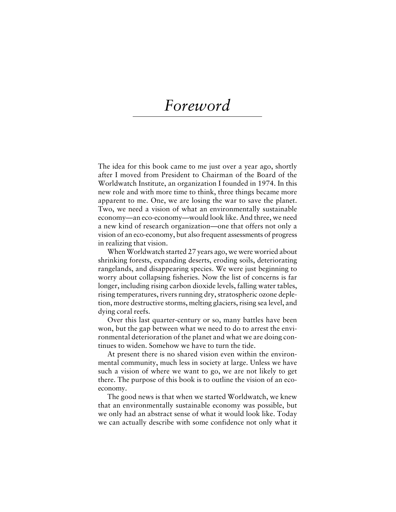### *Foreword*

The idea for this book came to me just over a year ago, shortly after I moved from President to Chairman of the Board of the Worldwatch Institute, an organization I founded in 1974. In this new role and with more time to think, three things became more apparent to me. One, we are losing the war to save the planet. Two, we need a vision of what an environmentally sustainable economy—an eco-economy—would look like. And three, we need a new kind of research organization—one that offers not only a vision of an eco-economy, but also frequent assessments of progress in realizing that vision.

When Worldwatch started 27 years ago, we were worried about shrinking forests, expanding deserts, eroding soils, deteriorating rangelands, and disappearing species. We were just beginning to worry about collapsing fisheries. Now the list of concerns is far longer, including rising carbon dioxide levels, falling water tables, rising temperatures, rivers running dry, stratospheric ozone depletion, more destructive storms, melting glaciers, rising sea level, and dying coral reefs.

Over this last quarter-century or so, many battles have been won, but the gap between what we need to do to arrest the environmental deterioration of the planet and what we are doing continues to widen. Somehow we have to turn the tide.

At present there is no shared vision even within the environmental community, much less in society at large. Unless we have such a vision of where we want to go, we are not likely to get there. The purpose of this book is to outline the vision of an ecoeconomy.

The good news is that when we started Worldwatch, we knew that an environmentally sustainable economy was possible, but we only had an abstract sense of what it would look like. Today we can actually describe with some confidence not only what it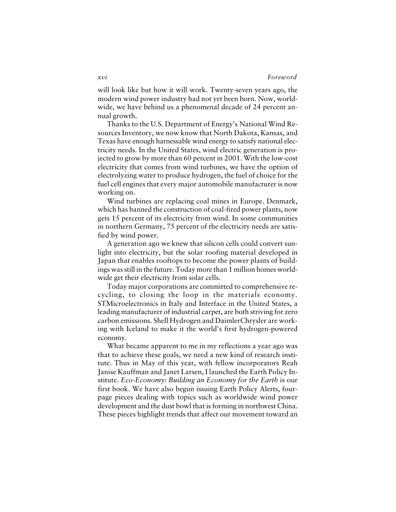will look like but how it will work. Twenty-seven years ago, the modern wind power industry had not yet been born. Now, worldwide, we have behind us a phenomenal decade of 24 percent annual growth.

Thanks to the U.S. Department of Energy's National Wind Resources Inventory, we now know that North Dakota, Kansas, and Texas have enough harnessable wind energy to satisfy national electricity needs. In the United States, wind electric generation is projected to grow by more than 60 percent in 2001. With the low-cost electricity that comes from wind turbines, we have the option of electrolyzing water to produce hydrogen, the fuel of choice for the fuel cell engines that every major automobile manufacturer is now working on.

Wind turbines are replacing coal mines in Europe. Denmark, which has banned the construction of coal-fired power plants, now gets 15 percent of its electricity from wind. In some communities in northern Germany, 75 percent of the electricity needs are satisfied by wind power.

A generation ago we knew that silicon cells could convert sunlight into electricity, but the solar roofing material developed in Japan that enables rooftops to become the power plants of buildings was still in the future. Today more than 1 million homes worldwide get their electricity from solar cells.

Today major corporations are committed to comprehensive recycling, to closing the loop in the materials economy. STMicroelectronics in Italy and Interface in the United States, a leading manufacturer of industrial carpet, are both striving for zero carbon emissions. Shell Hydrogen and DaimlerChrysler are working with Iceland to make it the world's first hydrogen-powered economy.

What became apparent to me in my reflections a year ago was that to achieve these goals, we need a new kind of research institute. Thus in May of this year, with fellow incorporators Reah Janise Kauffman and Janet Larsen, I launched the Earth Policy Institute. *Eco-Economy: Building an Economy for the Earth* is our first book. We have also begun issuing Earth Policy Alerts, fourpage pieces dealing with topics such as worldwide wind power development and the dust bowl that is forming in northwest China. These pieces highlight trends that affect our movement toward an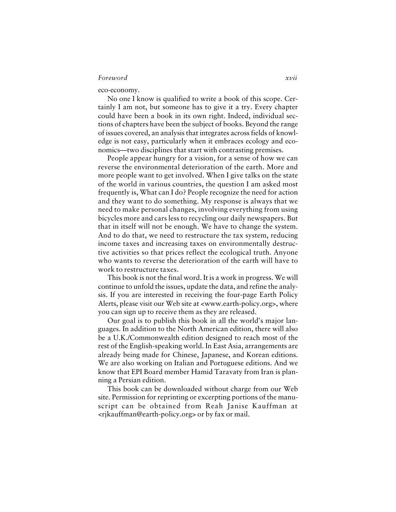### *Foreword xvii*

#### eco-economy.

No one I know is qualified to write a book of this scope. Certainly I am not, but someone has to give it a try. Every chapter could have been a book in its own right. Indeed, individual sections of chapters have been the subject of books. Beyond the range of issues covered, an analysis that integrates across fields of knowledge is not easy, particularly when it embraces ecology and economics—two disciplines that start with contrasting premises.

People appear hungry for a vision, for a sense of how we can reverse the environmental deterioration of the earth. More and more people want to get involved. When I give talks on the state of the world in various countries, the question I am asked most frequently is, What can I do? People recognize the need for action and they want to do something. My response is always that we need to make personal changes, involving everything from using bicycles more and cars less to recycling our daily newspapers. But that in itself will not be enough. We have to change the system. And to do that, we need to restructure the tax system, reducing income taxes and increasing taxes on environmentally destructive activities so that prices reflect the ecological truth. Anyone who wants to reverse the deterioration of the earth will have to work to restructure taxes.

This book is not the final word. It is a work in progress. We will continue to unfold the issues, update the data, and refine the analysis. If you are interested in receiving the four-page Earth Policy Alerts, please visit our Web site at <www.earth-policy.org>, where you can sign up to receive them as they are released.

Our goal is to publish this book in all the world's major languages. In addition to the North American edition, there will also be a U.K./Commonwealth edition designed to reach most of the rest of the English-speaking world. In East Asia, arrangements are already being made for Chinese, Japanese, and Korean editions. We are also working on Italian and Portuguese editions. And we know that EPI Board member Hamid Taravaty from Iran is planning a Persian edition.

This book can be downloaded without charge from our Web site. Permission for reprinting or excerpting portions of the manuscript can be obtained from Reah Janise Kauffman at <rjkauffman@earth-policy.org> or by fax or mail.